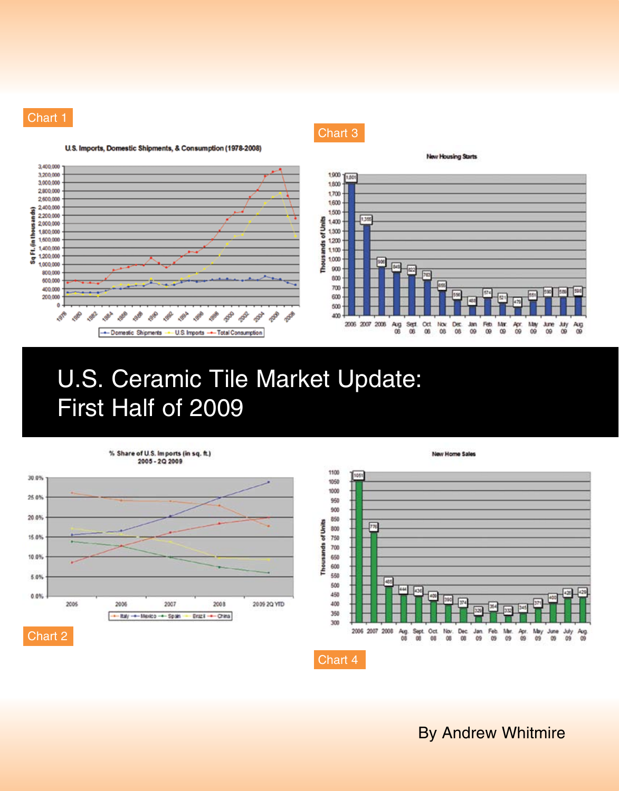

(in thous ands)

Sq FL





**Thousands of Units** 

Chart 3

# U.S. Ceramic Tile Market Update: First Half of 2009



1100 Itos 1050 1000 950 T 900 850 网 800 750 t 700 650 600 550 48 500 438 kä 450 laso 400 374 350 300 2006 2007 2008 Dec **Jan** Feb Mar  $rac{4\pi}{09}$  $\frac{\text{My}}{09}$ June  $rac{Jdy}{09}$  $\frac{\text{Avg}}{09}$  $\frac{1}{100}$  $09$  $\overline{09}$  $09$  $09$ Chart 4

**New Home Sales** 

By Andrew Whitmire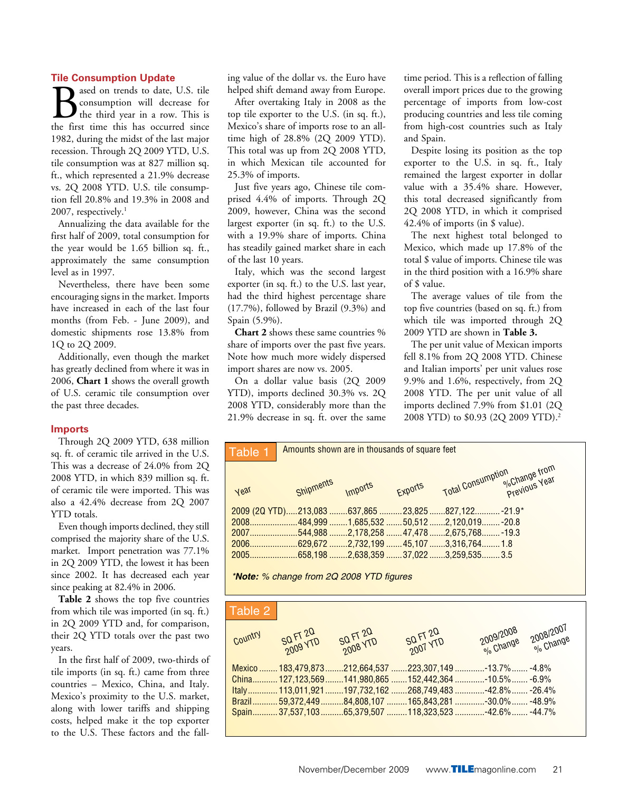#### **Tile Consumption Update**

ased on trends to date, U.S. tile consumption will decrease for the third year in a row. This is the first time this has occurred since 1982, during the midst of the last major recession. Through 2Q 2009 YTD, U.S. tile consumption was at 827 million sq. ft., which represented a 21.9% decrease vs. 2Q 2008 YTD. U.S. tile consumption fell 20.8% and 19.3% in 2008 and 2007, respectively.<sup>1</sup>

Annualizing the data available for the first half of 2009, total consumption for the year would be 1.65 billion sq. ft., approximately the same consumption level as in 1997.

Nevertheless, there have been some encouraging signs in the market. Imports have increased in each of the last four months (from Feb. - June 2009), and domestic shipments rose 13.8% from 1Q to 2Q 2009.

Additionally, even though the market has greatly declined from where it was in 2006, **Chart 1** shows the overall growth of U.S. ceramic tile consumption over the past three decades.

#### **Imports**

Through 2Q 2009 YTD, 638 million sq. ft. of ceramic tile arrived in the U.S. This was a decrease of 24.0% from 2Q 2008 YTD, in which 839 million sq. ft. of ceramic tile were imported. This was also a 42.4% decrease from 2Q 2007 YTD totals.

Even though imports declined, they still comprised the majority share of the U.S. market. Import penetration was 77.1% in 2Q 2009 YTD, the lowest it has been since 2002. It has decreased each year since peaking at 82.4% in 2006.

**Table 2** shows the top five countries from which tile was imported (in sq. ft.) in 2Q 2009 YTD and, for comparison, their 2Q YTD totals over the past two years.

In the first half of 2009, two-thirds of tile imports (in sq. ft.) came from three countries – Mexico, China, and Italy. Mexico's proximity to the U.S. market, along with lower tariffs and shipping costs, helped make it the top exporter to the U.S. These factors and the fall-

ing value of the dollar vs. the Euro have helped shift demand away from Europe.

After overtaking Italy in 2008 as the top tile exporter to the U.S. (in sq. ft.), Mexico's share of imports rose to an alltime high of 28.8% (2Q 2009 YTD). This total was up from 2Q 2008 YTD, in which Mexican tile accounted for 25.3% of imports.

Just five years ago, Chinese tile comprised 4.4% of imports. Through 2Q 2009, however, China was the second largest exporter (in sq. ft.) to the U.S. with a 19.9% share of imports. China has steadily gained market share in each of the last 10 years.

Italy, which was the second largest exporter (in sq. ft.) to the U.S. last year, had the third highest percentage share (17.7%), followed by Brazil (9.3%) and Spain (5.9%).

**Chart 2** shows these same countries % share of imports over the past five years. Note how much more widely dispersed import shares are now vs. 2005.

On a dollar value basis (2Q 2009 YTD), imports declined 30.3% vs. 2Q 2008 YTD, considerably more than the 21.9% decrease in sq. ft. over the same time period. This is a reflection of falling overall import prices due to the growing percentage of imports from low-cost producing countries and less tile coming from high-cost countries such as Italy and Spain.

Despite losing its position as the top exporter to the U.S. in sq. ft., Italy remained the largest exporter in dollar value with a 35.4% share. However, this total decreased significantly from 2Q 2008 YTD, in which it comprised 42.4% of imports (in \$ value).

The next highest total belonged to Mexico, which made up 17.8% of the total \$ value of imports. Chinese tile was in the third position with a 16.9% share of \$ value.

The average values of tile from the top five countries (based on sq. ft.) from which tile was imported through 2Q 2009 YTD are shown in **Table 3.**

The per unit value of Mexican imports fell 8.1% from 2Q 2008 YTD. Chinese and Italian imports' per unit values rose 9.9% and 1.6%, respectively, from 2Q 2008 YTD. The per unit value of all imports declined 7.9% from \$1.01 (2Q 2008 YTD) to \$0.93 (2Q 2009 YTD).2



| Table 2 |                      |                      |                      |                                                                         |
|---------|----------------------|----------------------|----------------------|-------------------------------------------------------------------------|
| Country | SQ FT 20<br>2009 YTD | SQ FT 20<br>2008 YTD | SQ FT 20<br>2007 YTD | 2008/2007<br><sup>2008/2007</sup><br>2009/2008<br><sup>9/9</sup> Change |
|         |                      |                      |                      | Mexico  183,479,873 212,664,537 223,307,149 -13.7%  -4.8%               |
|         |                      |                      |                      | .6.9%127,123,569141,980,865 152,442,364 -10.5%-6.9%                     |
|         |                      |                      |                      | ltaly 113,011,921197,732,162268,749,483-42.8% -26.4%                    |
|         |                      |                      |                      | .48.9%  59,372,449  84,808,107  165,843,281 -30.0%  -48.9%              |
|         |                      |                      |                      |                                                                         |
|         |                      |                      |                      |                                                                         |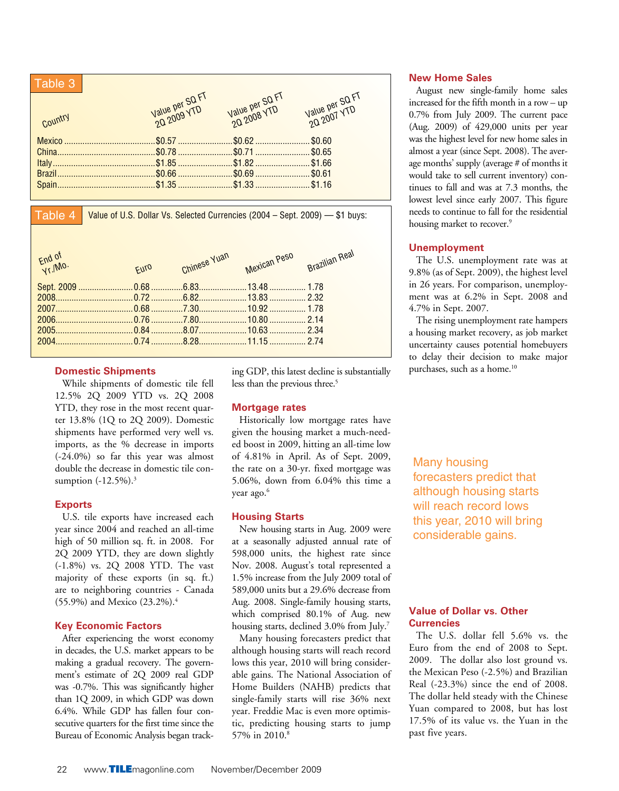| Table 3 |                                |                                |                                |
|---------|--------------------------------|--------------------------------|--------------------------------|
|         | Value per SQ FT<br>20 2009 YTD |                                | Value per SQ FT<br>20 2007 YTD |
| Country |                                | Value per SQ FT<br>2Q 2008 YTD |                                |
|         |                                |                                |                                |
|         |                                |                                |                                |
|         |                                |                                |                                |
|         |                                |                                |                                |
|         |                                |                                |                                |

Table 4

Value of U.S. Dollar Vs. Selected Currencies (2004 – Sept. 2009) — \$1 buys:

| $Fnd$ of<br>$Yr$ . Mo. | <b>FUTO</b> | Chinese Yuan | Mexican Peso | Brazilian Real |
|------------------------|-------------|--------------|--------------|----------------|
|                        |             |              |              |                |
|                        |             |              |              |                |
|                        |             |              |              |                |
|                        |             |              |              |                |
|                        |             |              |              |                |
|                        |             |              |              |                |
|                        |             |              |              |                |

#### **Domestic Shipments**

While shipments of domestic tile fell 12.5% 2Q 2009 YTD vs. 2Q 2008 YTD, they rose in the most recent quarter 13.8% (1Q to 2Q 2009). Domestic shipments have performed very well vs. imports, as the % decrease in imports (-24.0%) so far this year was almost double the decrease in domestic tile consumption (-12.5%).<sup>3</sup>

#### **Exports**

U.S. tile exports have increased each year since 2004 and reached an all-time high of 50 million sq. ft. in 2008. For 2Q 2009 YTD, they are down slightly (-1.8%) vs. 2Q 2008 YTD. The vast majority of these exports (in sq. ft.) are to neighboring countries - Canada (55.9%) and Mexico (23.2%).4

# **Key Economic Factors**

After experiencing the worst economy in decades, the U.S. market appears to be making a gradual recovery. The government's estimate of 2Q 2009 real GDP was -0.7%. This was significantly higher than 1Q 2009, in which GDP was down 6.4%. While GDP has fallen four consecutive quarters for the first time since the Bureau of Economic Analysis began tracking GDP, this latest decline is substantially less than the previous three.<sup>5</sup>

# **Mortgage rates**

Historically low mortgage rates have given the housing market a much-needed boost in 2009, hitting an all-time low of 4.81% in April. As of Sept. 2009, the rate on a 30-yr. fixed mortgage was 5.06%, down from 6.04% this time a year ago.<sup>6</sup>

# **Housing Starts**

New housing starts in Aug. 2009 were at a seasonally adjusted annual rate of 598,000 units, the highest rate since Nov. 2008. August's total represented a 1.5% increase from the July 2009 total of 589,000 units but a 29.6% decrease from Aug. 2008. Single-family housing starts, which comprised 80.1% of Aug. new housing starts, declined 3.0% from July.<sup>7</sup>

Many housing forecasters predict that although housing starts will reach record lows this year, 2010 will bring considerable gains. The National Association of Home Builders (NAHB) predicts that single-family starts will rise 36% next year. Freddie Mac is even more optimistic, predicting housing starts to jump 57% in 2010.<sup>8</sup>

#### **New Home Sales**

August new single-family home sales increased for the fifth month in a row – up 0.7% from July 2009. The current pace (Aug. 2009) of 429,000 units per year was the highest level for new home sales in almost a year (since Sept. 2008). The average months' supply (average # of months it would take to sell current inventory) continues to fall and was at 7.3 months, the lowest level since early 2007. This figure needs to continue to fall for the residential housing market to recover.<sup>9</sup>

# **Unemployment**

The U.S. unemployment rate was at 9.8% (as of Sept. 2009), the highest level in 26 years. For comparison, unemployment was at 6.2% in Sept. 2008 and 4.7% in Sept. 2007.

The rising unemployment rate hampers a housing market recovery, as job market uncertainty causes potential homebuyers to delay their decision to make major purchases, such as a home.<sup>10</sup>

Many housing forecasters predict that although housing starts will reach record lows this year, 2010 will bring considerable gains.

#### **Value of Dollar vs. Other Currencies**

The U.S. dollar fell 5.6% vs. the Euro from the end of 2008 to Sept. 2009. The dollar also lost ground vs. the Mexican Peso (-2.5%) and Brazilian Real (-23.3%) since the end of 2008. The dollar held steady with the Chinese Yuan compared to 2008, but has lost 17.5% of its value vs. the Yuan in the past five years.